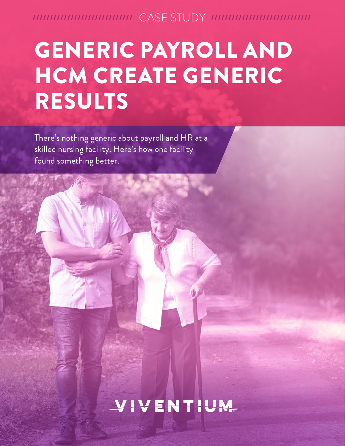///////////////////////////// CASE STUDY /////////////////////////////

# GENERIC PAYROLL AND HCM CREATE GENERIC RESULTS

There's nothing generic about payroll and HR at a skilled nursing facility. Here's how one facility found something better.

### VIVENTIUM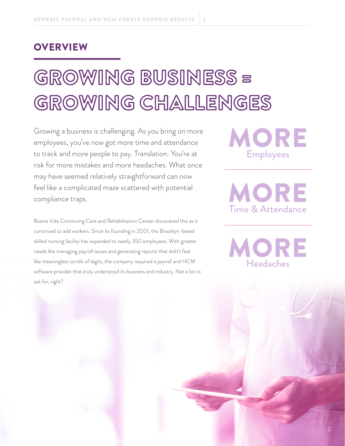#### **OVERVIEW**

# GROWING BUSINESS = GROWING CHALLENGES

Growing a business is challenging. As you bring on more employees, you've now got more time and attendance to track and more people to pay. Translation: You're at risk for more mistakes and more headaches. What once may have seemed relatively straightforward can now feel like a complicated maze scattered with potential compliance traps.

Buena Vida Continuing Care and Rehabilitation Center discovered this as it continued to add workers. Since its founding in 2001, the Brooklyn-based skilled nursing facility has expanded to nearly 350 employees. With greater needs like managing payroll issues and generating reports that didn't feel like meaningless scrolls of digits, the company required a payroll and HCM software provider that truly understood its business and industry. Not a lot to ask for, right?

MORE Employees

MORE Time & Attendance

ORE Headaches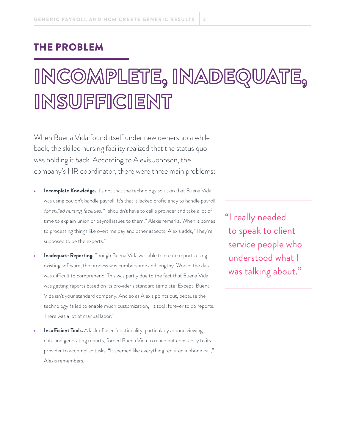#### THE PROBLEM

## INCOMPLETE, INADEQUATE, INSUFFICIENT

When Buena Vida found itself under new ownership a while back, the skilled nursing facility realized that the status quo was holding it back. According to Alexis Johnson, the company's HR coordinator, there were three main problems:

- **Incomplete Knowledge.** It's not that the technology solution that Buena Vida was using couldn't handle payroll. It's that it lacked proficiency to handle payroll for skilled nursing facilities. "I shouldn't have to call a provider and take a lot of time to explain union or payroll issues to them," Alexis remarks. When it comes to processing things like overtime pay and other aspects, Alexis adds, "They're supposed to be the experts."
- **Inadequate Reporting.** Though Buena Vida was able to create reports using existing software, the process was cumbersome and lengthy. Worse, the data was difficult to comprehend. This was partly due to the fact that Buena Vida was getting reports based on its provider's standard template. Except, Buena Vida isn't your standard company. And so as Alexis points out, because the technology failed to enable much customization, "it took forever to do reports. There was a lot of manual labor."
- **Insufficient Tools.** A lack of user functionality, particularly around viewing data and generating reports, forced Buena Vida to reach out constantly to its provider to accomplish tasks. "It seemed like everything required a phone call," Alexis remembers.

"I really needed to speak to client service people who understood what I was talking about."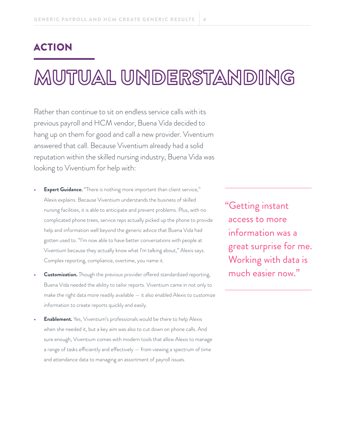#### ACTION

### MUTUAL UNDERSTANDING

Rather than continue to sit on endless service calls with its previous payroll and HCM vendor, Buena Vida decided to hang up on them for good and call a new provider. Viventium answered that call. Because Viventium already had a solid reputation within the skilled nursing industry, Buena Vida was looking to Viventium for help with:

- **• Expert Guidance.** "There is nothing more important than client service," Alexis explains. Because Viventium understands the business of skilled nursing facilities, it is able to anticipate and prevent problems. Plus, with no complicated phone trees, service reps actually picked up the phone to provide help and information well beyond the generic advice that Buena Vida had gotten used to. "I'm now able to have better conversations with people at Viventium because they actually know what I'm talking about," Alexis says. Complex reporting, compliance, overtime, you name it.
- **• Customization.** Though the previous provider offered standardized reporting, Buena Vida needed the ability to tailor reports. Viventium came in not only to make the right data more readily available — it also enabled Alexis to customize information to create reports quickly and easily.
- **• Enablement.** Yes, Viventium's professionals would be there to help Alexis when she needed it, but a key aim was also to cut down on phone calls. And sure enough, Viventium comes with modern tools that allow Alexis to manage a range of tasks efficiently and effectively — from viewing a spectrum of time and attendance data to managing an assortment of payroll issues.

"Getting instant access to more information was a great surprise for me. Working with data is much easier now."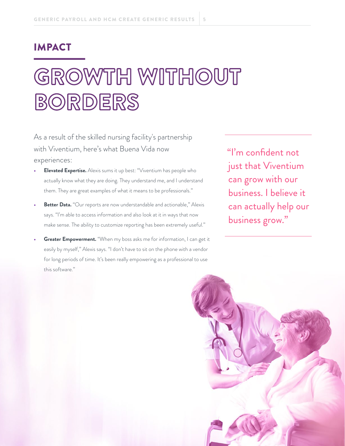#### IMPACT

# GROWTH WITHOUT BORDERS

As a result of the skilled nursing facility's partnership with Viventium, here's what Buena Vida now experiences:

- **• Elevated Expertise.** Alexis sums it up best: "Viventium has people who actually know what they are doing. They understand me, and I understand them. They are great examples of what it means to be professionals."
- **Better Data.** "Our reports are now understandable and actionable," Alexis says. "I'm able to access information and also look at it in ways that now make sense. The ability to customize reporting has been extremely useful."
- **Greater Empowerment.** "When my boss asks me for information, I can get it easily by myself," Alexis says. "I don't have to sit on the phone with a vendor for long periods of time. It's been really empowering as a professional to use this software."

 "I'm confident not just that Viventium can grow with our business. I believe it can actually help our business grow."